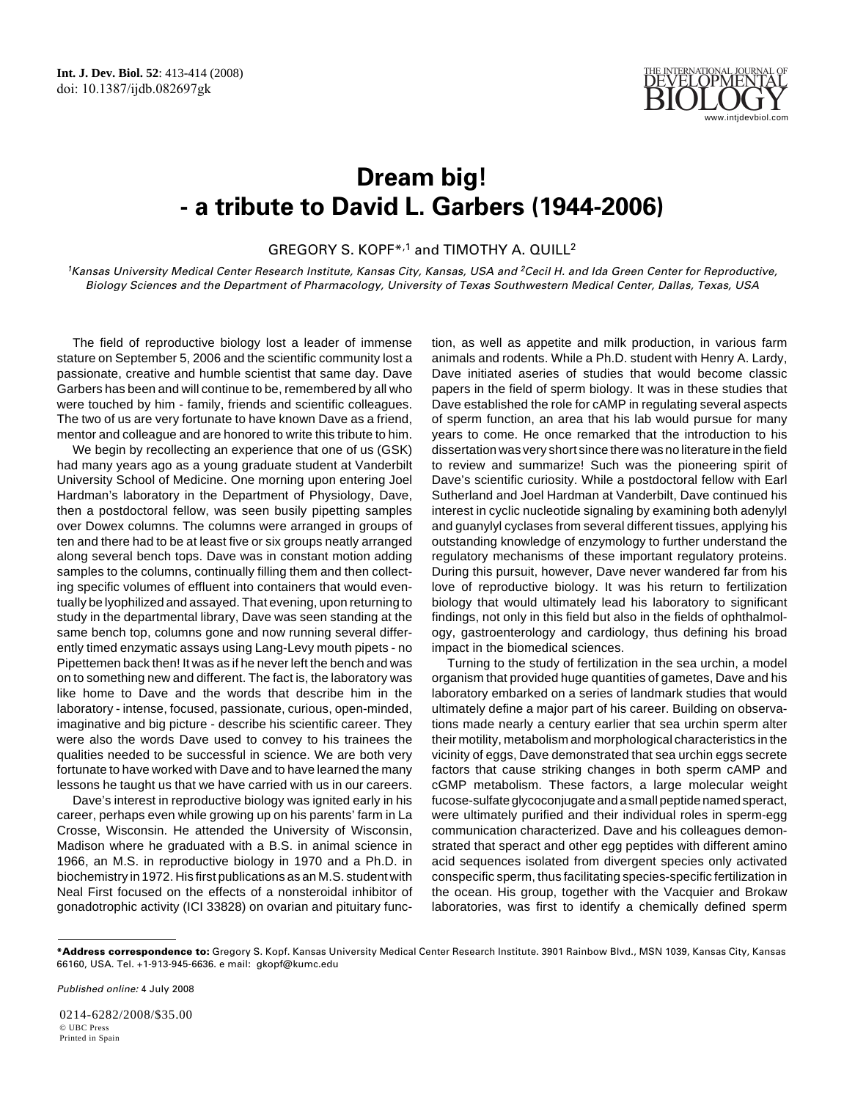

## **Dream big! - a tribute to David L. Garbers (1944-2006)**

GREGORY S. KOPF\*,1 and TIMOTHY A. QUILL2

<sup>1</sup>Kansas University Medical Center Research Institute, Kansas City, Kansas, USA and <sup>2</sup>Cecil H, and Ida Green Center for Reproductive, Biology Sciences and the Department of Pharmacology, University of Texas Southwestern Medical Center, Dallas, Texas, USA

The field of reproductive biology lost a leader of immense stature on September 5, 2006 and the scientific community lost a passionate, creative and humble scientist that same day. Dave Garbers has been and will continue to be, remembered by all who were touched by him - family, friends and scientific colleagues. The two of us are very fortunate to have known Dave as a friend, mentor and colleague and are honored to write this tribute to him.

We begin by recollecting an experience that one of us (GSK) had many years ago as a young graduate student at Vanderbilt University School of Medicine. One morning upon entering Joel Hardman's laboratory in the Department of Physiology, Dave, then a postdoctoral fellow, was seen busily pipetting samples over Dowex columns. The columns were arranged in groups of ten and there had to be at least five or six groups neatly arranged along several bench tops. Dave was in constant motion adding samples to the columns, continually filling them and then collecting specific volumes of effluent into containers that would eventually be lyophilized and assayed. That evening, upon returning to study in the departmental library, Dave was seen standing at the same bench top, columns gone and now running several differently timed enzymatic assays using Lang-Levy mouth pipets - no Pipettemen back then! It was as if he never left the bench and was on to something new and different. The fact is, the laboratory was like home to Dave and the words that describe him in the laboratory - intense, focused, passionate, curious, open-minded, imaginative and big picture - describe his scientific career. They were also the words Dave used to convey to his trainees the qualities needed to be successful in science. We are both very fortunate to have worked with Dave and to have learned the many lessons he taught us that we have carried with us in our careers.

Dave's interest in reproductive biology was ignited early in his career, perhaps even while growing up on his parents' farm in La Crosse, Wisconsin. He attended the University of Wisconsin, Madison where he graduated with a B.S. in animal science in 1966, an M.S. in reproductive biology in 1970 and a Ph.D. in biochemistry in 1972. His first publications as an M.S. student with Neal First focused on the effects of a nonsteroidal inhibitor of gonadotrophic activity (ICI 33828) on ovarian and pituitary func-

tion, as well as appetite and milk production, in various farm animals and rodents. While a Ph.D. student with Henry A. Lardy, Dave initiated aseries of studies that would become classic papers in the field of sperm biology. It was in these studies that Dave established the role for cAMP in regulating several aspects of sperm function, an area that his lab would pursue for many years to come. He once remarked that the introduction to his dissertation was very short since there was no literature in the field to review and summarize! Such was the pioneering spirit of Dave's scientific curiosity. While a postdoctoral fellow with Earl Sutherland and Joel Hardman at Vanderbilt, Dave continued his interest in cyclic nucleotide signaling by examining both adenylyl and guanylyl cyclases from several different tissues, applying his outstanding knowledge of enzymology to further understand the regulatory mechanisms of these important regulatory proteins. During this pursuit, however, Dave never wandered far from his love of reproductive biology. It was his return to fertilization biology that would ultimately lead his laboratory to significant findings, not only in this field but also in the fields of ophthalmology, gastroenterology and cardiology, thus defining his broad impact in the biomedical sciences.

Turning to the study of fertilization in the sea urchin, a model organism that provided huge quantities of gametes, Dave and his laboratory embarked on a series of landmark studies that would ultimately define a major part of his career. Building on observations made nearly a century earlier that sea urchin sperm alter their motility, metabolism and morphological characteristics in the vicinity of eggs, Dave demonstrated that sea urchin eggs secrete factors that cause striking changes in both sperm cAMP and cGMP metabolism. These factors, a large molecular weight fucose-sulfate glycoconjugate and a small peptide named speract, were ultimately purified and their individual roles in sperm-egg communication characterized. Dave and his colleagues demonstrated that speract and other egg peptides with different amino acid sequences isolated from divergent species only activated conspecific sperm, thus facilitating species-specific fertilization in the ocean. His group, together with the Vacquier and Brokaw laboratories, was first to identify a chemically defined sperm

Published online: 4 July 2008

0214-6282/2008/\$35.00 © UBC Press Printed in Spain

**<sup>\*</sup>Address correspondence to:** Gregory S. Kopf. Kansas University Medical Center Research Institute. 3901 Rainbow Blvd., MSN 1039, Kansas City, Kansas 66160, USA. Tel. +1-913-945-6636. e mail: gkopf@kumc.edu